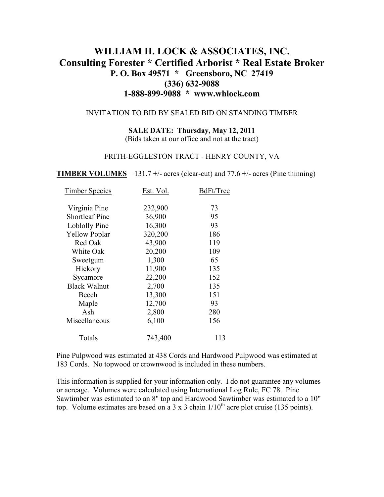# **WILLIAM H. LOCK & ASSOCIATES, INC. Consulting Forester \* Certified Arborist \* Real Estate Broker P. O. Box 49571 \* Greensboro, NC 27419 (336) 632-9088 1-888-899-9088 \* www.whlock.com**

#### INVITATION TO BID BY SEALED BID ON STANDING TIMBER

**SALE DATE: Thursday, May 12, 2011**  (Bids taken at our office and not at the tract)

#### FRITH-EGGLESTON TRACT - HENRY COUNTY, VA

**TIMBER VOLUMES** – 131.7 +/- acres (clear-cut) and 77.6 +/- acres (Pine thinning)

| <b>Timber Species</b> | Est. Vol. | BdFt/Tree |
|-----------------------|-----------|-----------|
| Virginia Pine         | 232,900   | 73        |
| <b>Shortleaf Pine</b> | 36,900    | 95        |
| <b>Loblolly Pine</b>  | 16,300    | 93        |
| <b>Yellow Poplar</b>  | 320,200   | 186       |
| Red Oak               | 43,900    | 119       |
| White Oak             | 20,200    | 109       |
| Sweetgum              | 1,300     | 65        |
| Hickory               | 11,900    | 135       |
| Sycamore              | 22,200    | 152       |
| <b>Black Walnut</b>   | 2,700     | 135       |
| Beech                 | 13,300    | 151       |
| Maple                 | 12,700    | 93        |
| Ash                   | 2,800     | 280       |
| Miscellaneous         | 6,100     | 156       |
| Totals                | 743,400   | 113       |

Pine Pulpwood was estimated at 438 Cords and Hardwood Pulpwood was estimated at 183 Cords. No topwood or crownwood is included in these numbers.

This information is supplied for your information only. I do not guarantee any volumes or acreage. Volumes were calculated using International Log Rule, FC 78. Pine Sawtimber was estimated to an 8" top and Hardwood Sawtimber was estimated to a 10" top. Volume estimates are based on a 3 x 3 chain  $1/10^{th}$  acre plot cruise (135 points).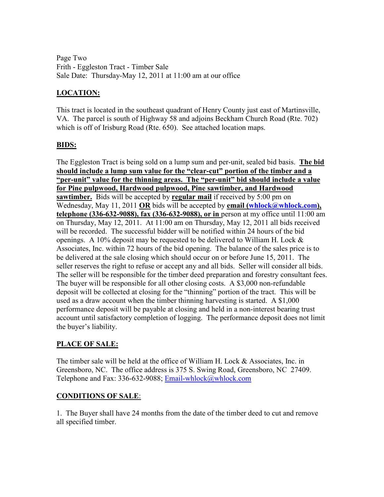Page Two Frith - Eggleston Tract - Timber Sale Sale Date: Thursday-May 12, 2011 at 11:00 am at our office

## **LOCATION:**

This tract is located in the southeast quadrant of Henry County just east of Martinsville, VA. The parcel is south of Highway 58 and adjoins Beckham Church Road (Rte. 702) which is off of Irisburg Road (Rte. 650). See attached location maps.

### **BIDS:**

The Eggleston Tract is being sold on a lump sum and per-unit, sealed bid basis. **The bid should include a lump sum value for the "clear-cut" portion of the timber and a "per-unit" value for the thinning areas. The "per-unit" bid should include a value for Pine pulpwood, Hardwood pulpwood, Pine sawtimber, and Hardwood <u>sawtimber.</u>** Bids will be accepted by **regular mail** if received by 5:00 pm on Wednesday, May 11, 2011 **OR** bids will be accepted by **email** (whlock@whlock.com), **telephone (336-632-9088), fax (336-632-9088), or in** person at my office until 11:00 am on Thursday, May 12, 2011. At 11:00 am on Thursday, May 12, 2011 all bids received will be recorded. The successful bidder will be notified within 24 hours of the bid openings. A 10% deposit may be requested to be delivered to William H. Lock  $\&$ Associates, Inc. within 72 hours of the bid opening. The balance of the sales price is to be delivered at the sale closing which should occur on or before June 15, 2011. The seller reserves the right to refuse or accept any and all bids. Seller will consider all bids. The seller will be responsible for the timber deed preparation and forestry consultant fees. The buyer will be responsible for all other closing costs. A \$3,000 non-refundable deposit will be collected at closing for the "thinning" portion of the tract. This will be used as a draw account when the timber thinning harvesting is started. A \$1,000 performance deposit will be payable at closing and held in a non-interest bearing trust account until satisfactory completion of logging. The performance deposit does not limit the buyer's liability.

### **PLACE OF SALE:**

The timber sale will be held at the office of William H. Lock & Associates, Inc. in Greensboro, NC. The office address is 375 S. Swing Road, Greensboro, NC 27409. Telephone and Fax: 336-632-9088; Email-whlock@whlock.com

#### **CONDITIONS OF SALE**:

1. The Buyer shall have 24 months from the date of the timber deed to cut and remove all specified timber.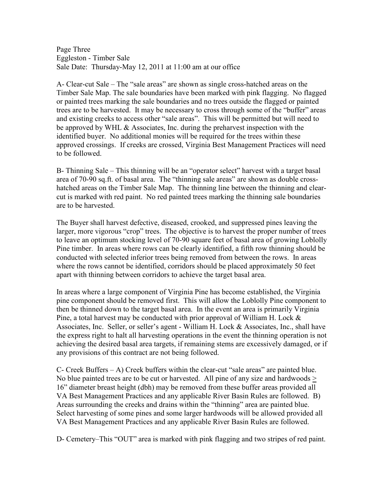Page Three Eggleston - Timber Sale Sale Date: Thursday-May 12, 2011 at 11:00 am at our office

A- Clear-cut Sale – The "sale areas" are shown as single cross-hatched areas on the Timber Sale Map. The sale boundaries have been marked with pink flagging. No flagged or painted trees marking the sale boundaries and no trees outside the flagged or painted trees are to be harvested. It may be necessary to cross through some of the "buffer" areas and existing creeks to access other "sale areas". This will be permitted but will need to be approved by WHL & Associates, Inc. during the preharvest inspection with the identified buyer. No additional monies will be required for the trees within these approved crossings. If creeks are crossed, Virginia Best Management Practices will need to be followed.

B- Thinning Sale – This thinning will be an "operator select" harvest with a target basal area of 70-90 sq.ft. of basal area. The "thinning sale areas" are shown as double crosshatched areas on the Timber Sale Map. The thinning line between the thinning and clearcut is marked with red paint. No red painted trees marking the thinning sale boundaries are to be harvested.

The Buyer shall harvest defective, diseased, crooked, and suppressed pines leaving the larger, more vigorous "crop" trees. The objective is to harvest the proper number of trees to leave an optimum stocking level of 70-90 square feet of basal area of growing Loblolly Pine timber. In areas where rows can be clearly identified, a fifth row thinning should be conducted with selected inferior trees being removed from between the rows. In areas where the rows cannot be identified, corridors should be placed approximately 50 feet apart with thinning between corridors to achieve the target basal area.

In areas where a large component of Virginia Pine has become established, the Virginia pine component should be removed first. This will allow the Loblolly Pine component to then be thinned down to the target basal area. In the event an area is primarily Virginia Pine, a total harvest may be conducted with prior approval of William H. Lock & Associates, Inc. Seller, or seller's agent - William H. Lock & Associates, Inc., shall have the express right to halt all harvesting operations in the event the thinning operation is not achieving the desired basal area targets, if remaining stems are excessively damaged, or if any provisions of this contract are not being followed.

C- Creek Buffers – A) Creek buffers within the clear-cut "sale areas" are painted blue. No blue painted trees are to be cut or harvested. All pine of any size and hardwoods > 16" diameter breast height (dbh) may be removed from these buffer areas provided all VA Best Management Practices and any applicable River Basin Rules are followed. B) Areas surrounding the creeks and drains within the "thinning" area are painted blue. Select harvesting of some pines and some larger hardwoods will be allowed provided all VA Best Management Practices and any applicable River Basin Rules are followed.

D- Cemetery–This "OUT" area is marked with pink flagging and two stripes of red paint.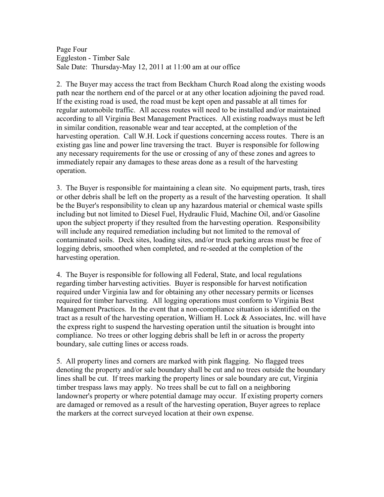Page Four Eggleston - Timber Sale Sale Date: Thursday-May 12, 2011 at 11:00 am at our office

2. The Buyer may access the tract from Beckham Church Road along the existing woods path near the northern end of the parcel or at any other location adjoining the paved road. If the existing road is used, the road must be kept open and passable at all times for regular automobile traffic. All access routes will need to be installed and/or maintained according to all Virginia Best Management Practices. All existing roadways must be left in similar condition, reasonable wear and tear accepted, at the completion of the harvesting operation. Call W.H. Lock if questions concerning access routes. There is an existing gas line and power line traversing the tract. Buyer is responsible for following any necessary requirements for the use or crossing of any of these zones and agrees to immediately repair any damages to these areas done as a result of the harvesting operation.

3. The Buyer is responsible for maintaining a clean site. No equipment parts, trash, tires or other debris shall be left on the property as a result of the harvesting operation. It shall be the Buyer's responsibility to clean up any hazardous material or chemical waste spills including but not limited to Diesel Fuel, Hydraulic Fluid, Machine Oil, and/or Gasoline upon the subject property if they resulted from the harvesting operation. Responsibility will include any required remediation including but not limited to the removal of contaminated soils. Deck sites, loading sites, and/or truck parking areas must be free of logging debris, smoothed when completed, and re-seeded at the completion of the harvesting operation.

4. The Buyer is responsible for following all Federal, State, and local regulations regarding timber harvesting activities. Buyer is responsible for harvest notification required under Virginia law and for obtaining any other necessary permits or licenses required for timber harvesting. All logging operations must conform to Virginia Best Management Practices. In the event that a non-compliance situation is identified on the tract as a result of the harvesting operation, William H. Lock & Associates, Inc. will have the express right to suspend the harvesting operation until the situation is brought into compliance. No trees or other logging debris shall be left in or across the property boundary, sale cutting lines or access roads.

5. All property lines and corners are marked with pink flagging. No flagged trees denoting the property and/or sale boundary shall be cut and no trees outside the boundary lines shall be cut. If trees marking the property lines or sale boundary are cut, Virginia timber trespass laws may apply. No trees shall be cut to fall on a neighboring landowner's property or where potential damage may occur. If existing property corners are damaged or removed as a result of the harvesting operation, Buyer agrees to replace the markers at the correct surveyed location at their own expense.